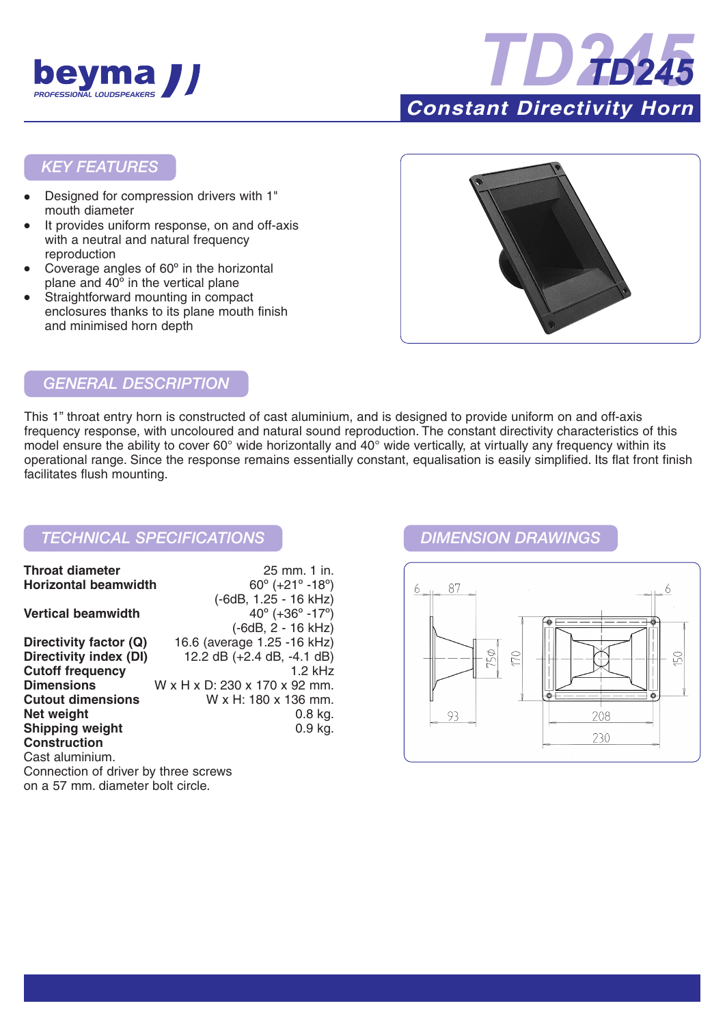



## *KEY FEATURES*

- Designed for compression drivers with 1" mouth diameter
- It provides uniform response, on and off-axis with a neutral and natural frequency reproduction
- Coverage angles of 60° in the horizontal plane and 40º in the vertical plane
- Straightforward mounting in compact enclosures thanks to its plane mouth finish and minimised horn depth



## *GENERAL DESCRIPTION*

This 1" throat entry horn is constructed of cast aluminium, and is designed to provide uniform on and off-axis frequency response, with uncoloured and natural sound reproduction. The constant directivity characteristics of this model ensure the ability to cover 60° wide horizontally and 40° wide vertically, at virtually any frequency within its operational range. Since the response remains essentially constant, equalisation is easily simplified. Its flat front finish facilitates flush mounting.

## *TECHNICAL SPECIFICATIONS DIMENSION DRAWINGS*

| <b>Throat diameter</b>                        | 25 mm. 1 in.                                  |
|-----------------------------------------------|-----------------------------------------------|
| <b>Horizontal beamwidth</b>                   | $60^{\circ}$ (+21 $^{\circ}$ -18 $^{\circ}$ ) |
|                                               | (-6dB, 1.25 - 16 kHz)                         |
| <b>Vertical beamwidth</b>                     | $40^{\circ}$ (+36 $^{\circ}$ -17 $^{\circ}$ ) |
|                                               | $(-6dB, 2 - 16 kHz)$                          |
| Directivity factor (Q)                        | 16.6 (average 1.25 -16 kHz)                   |
| Directivity index (DI)                        | 12.2 dB $(+2.4$ dB, $-4.1$ dB)                |
| <b>Cutoff frequency</b>                       | $1.2$ kHz                                     |
| <b>Dimensions</b>                             | W x H x D: 230 x 170 x 92 mm.                 |
| <b>Cutout dimensions</b>                      | W x H: 180 x 136 mm.                          |
| Net weight                                    | $0.8$ kg.                                     |
| <b>Shipping weight</b>                        | $0.9$ kg.                                     |
| <b>Construction</b>                           |                                               |
| Cast aluminium.                               |                                               |
| Connection of driver by three screws          |                                               |
| .n. e. EZ. menec, elianea etan le alt ainala. |                                               |

on a 57 mm. diameter bolt circle.